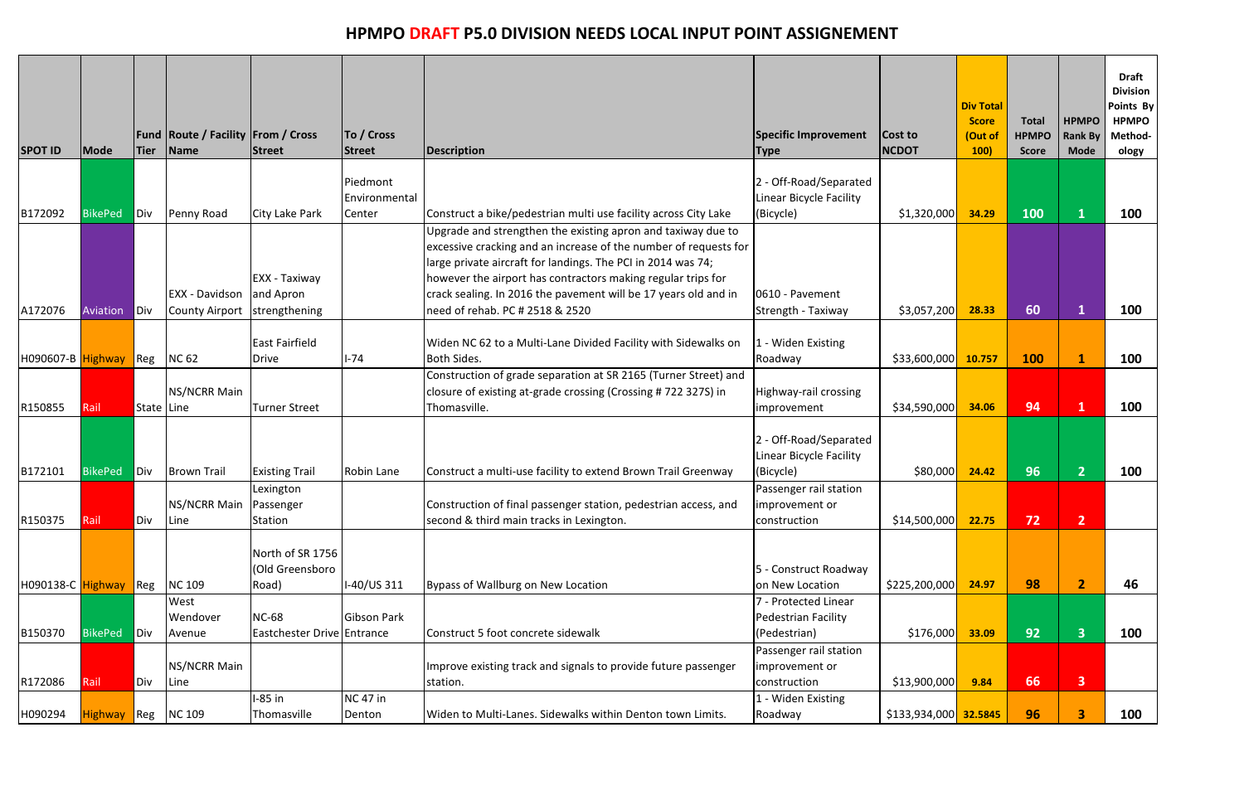| <b>SPOT ID</b>    | <b>Mode</b>    | Tier               | Fund   Route / Facility   From / Cross<br>Name | <b>Street</b>                                | To / Cross<br><b>Street</b> | Description                                                                                                                                                                                                                                                                                                                                                            | Specific Improvement<br><b>Type</b>                                                  | Cost to<br><b>NCDOT</b> | <b>Div Total</b><br><b>Score</b><br>(Out of<br>100) | <b>Total</b><br><b>HPMPO</b><br><b>Score</b> | <b>HPMPO</b><br>Rank By<br><b>Mode</b> | <b>Draft</b><br><b>Division</b><br>Points By<br><b>HPMPO</b><br>Method-<br>ology |
|-------------------|----------------|--------------------|------------------------------------------------|----------------------------------------------|-----------------------------|------------------------------------------------------------------------------------------------------------------------------------------------------------------------------------------------------------------------------------------------------------------------------------------------------------------------------------------------------------------------|--------------------------------------------------------------------------------------|-------------------------|-----------------------------------------------------|----------------------------------------------|----------------------------------------|----------------------------------------------------------------------------------|
|                   |                |                    |                                                |                                              | Piedmont<br>Environmental   |                                                                                                                                                                                                                                                                                                                                                                        | - Off-Road/Separated<br>Linear Bicycle Facility                                      |                         |                                                     |                                              |                                        |                                                                                  |
| B172092           | <b>BikePed</b> | Div                | Penny Road                                     | City Lake Park                               | Center                      | Construct a bike/pedestrian multi use facility across City Lake                                                                                                                                                                                                                                                                                                        | (Bicycle)                                                                            | \$1,320,000             | 34.29                                               | 100                                          |                                        | 100                                                                              |
| A172076           | Aviation       | <b>Div</b>         | EXX - Davidson<br><b>County Airport</b>        | EXX - Taxiway<br>and Apron<br>strengthening  |                             | Upgrade and strengthen the existing apron and taxiway due to<br>excessive cracking and an increase of the number of requests for<br>large private aircraft for landings. The PCI in 2014 was 74;<br>however the airport has contractors making regular trips for<br>crack sealing. In 2016 the pavement will be 17 years old and in<br>need of rehab. PC # 2518 & 2520 | 0610 - Pavement<br>Strength - Taxiway                                                | \$3,057,200             | 28.33                                               | 60                                           |                                        | 100                                                                              |
| H090607-B Highway |                | Reg                | <b>NC 62</b>                                   | <b>East Fairfield</b><br>Drive               | $1 - 74$                    | Widen NC 62 to a Multi-Lane Divided Facility with Sidewalks on<br><b>Both Sides.</b>                                                                                                                                                                                                                                                                                   | 1 - Widen Existing<br>Roadway                                                        | \$33,600,000            | 10.757                                              | 100                                          |                                        | 100                                                                              |
|                   |                |                    |                                                |                                              |                             | Construction of grade separation at SR 2165 (Turner Street) and                                                                                                                                                                                                                                                                                                        |                                                                                      |                         |                                                     |                                              |                                        |                                                                                  |
| R150855           | Rail           | State Line         | <b>NS/NCRR Main</b>                            | <b>Turner Street</b>                         |                             | closure of existing at-grade crossing (Crossing # 722 327S) in<br>Thomasville.                                                                                                                                                                                                                                                                                         | Highway-rail crossing                                                                | \$34,590,000            | 34.06                                               | 94                                           |                                        | 100                                                                              |
| B172101           | <b>BikePed</b> | Div                | <b>Brown Trail</b>                             | <b>Existing Trail</b>                        | Robin Lane                  | Construct a multi-use facility to extend Brown Trail Greenway                                                                                                                                                                                                                                                                                                          | <i>improvement</i><br>2 - Off-Road/Separated<br>Linear Bicycle Facility<br>(Bicycle) | \$80,000                | 24.42                                               | 96                                           | $\overline{2}$                         | 100                                                                              |
| R150375           | Rail           | Div                | NS/NCRR Main   Passenger<br>Line               | Lexington<br>Station                         |                             | Construction of final passenger station, pedestrian access, and<br>second & third main tracks in Lexington.                                                                                                                                                                                                                                                            | Passenger rail station<br>improvement or<br>construction                             | \$14,500,000            | 22.75                                               | 72                                           | $\overline{2}$                         |                                                                                  |
| H090138-C Highway |                | $\blacksquare$ Reg | <b>NC109</b>                                   | North of SR 1756<br>(Old Greensboro<br>Road) | I-40/US 311                 | Bypass of Wallburg on New Location                                                                                                                                                                                                                                                                                                                                     | 5 - Construct Roadway<br>on New Location                                             | \$225,200,000           | 24.97                                               | 98                                           | 2 <sup>1</sup>                         | 46                                                                               |
| B150370           | <b>BikePed</b> | Div                | West<br>Wendover<br>Avenue                     | <b>NC-68</b><br>Eastchester Drive Entrance   | Gibson Park                 | Construct 5 foot concrete sidewalk                                                                                                                                                                                                                                                                                                                                     | 7 - Protected Linear<br>Pedestrian Facility<br>(Pedestrian)                          | \$176,000               | 33.09                                               | 92                                           | $\overline{\mathbf{3}}$                | 100                                                                              |
| R172086           | Rail           | Div                | <b>NS/NCRR Main</b><br>Line                    |                                              |                             | Improve existing track and signals to provide future passenger<br>station.                                                                                                                                                                                                                                                                                             | Passenger rail station<br>improvement or<br>construction                             | \$13,900,000            | 9.84                                                | 66                                           | 3 <sup>1</sup>                         |                                                                                  |
| H090294           | <b>Highway</b> | $\blacksquare$ Reg | <b>NC 109</b>                                  | $-85$ in<br>Thomasville                      | <b>NC 47 in</b><br>Denton   | Widen to Multi-Lanes. Sidewalks within Denton town Limits.                                                                                                                                                                                                                                                                                                             | 1 - Widen Existing<br>Roadway                                                        | \$133,934,000 32.5845   |                                                     | 96                                           | 3                                      | 100                                                                              |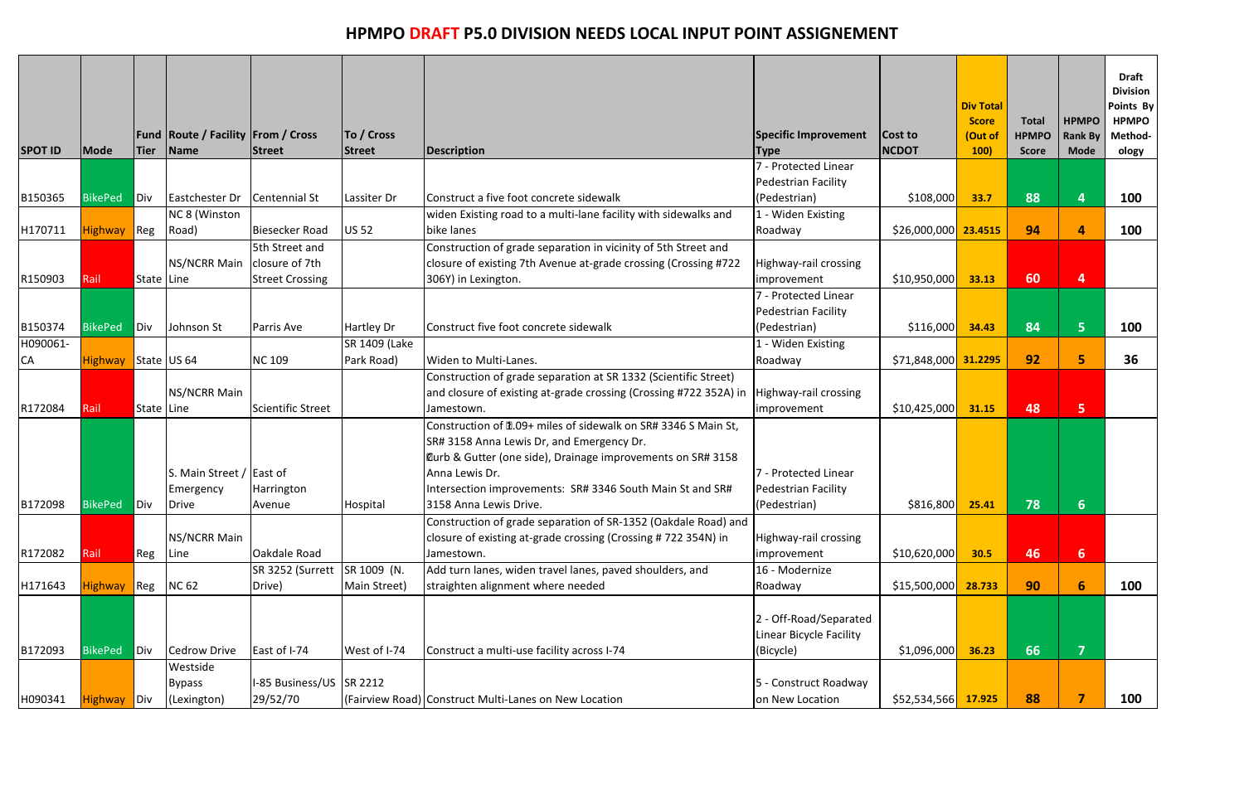| <b>SPOT ID</b> | Mode           | <b>Tier</b> | <b>Fund Route / Facility From / Cross</b><br>Name | <b>Street</b>                        | To / Cross<br><b>Street</b> | Description                                                                                                                                                                                                                                                | Specific Improvement<br><b>Type</b>                            | Cost to<br><b>NCDOT</b> | <b>Div Total</b><br><b>Score</b><br>(Out of<br>100) | <b>Total</b><br><b>HPMPO</b><br><b>Score</b> | <b>HPMPO</b><br><b>Rank By</b><br><b>Mode</b> | <b>Draft</b><br><b>Division</b><br>Points By<br><b>HPMPO</b><br>Method-<br>ology |
|----------------|----------------|-------------|---------------------------------------------------|--------------------------------------|-----------------------------|------------------------------------------------------------------------------------------------------------------------------------------------------------------------------------------------------------------------------------------------------------|----------------------------------------------------------------|-------------------------|-----------------------------------------------------|----------------------------------------------|-----------------------------------------------|----------------------------------------------------------------------------------|
|                |                |             |                                                   |                                      |                             |                                                                                                                                                                                                                                                            | 7 - Protected Linear                                           |                         |                                                     |                                              |                                               |                                                                                  |
|                |                |             |                                                   |                                      |                             |                                                                                                                                                                                                                                                            | Pedestrian Facility                                            |                         |                                                     |                                              |                                               |                                                                                  |
| B150365        | <b>BikePed</b> | Div         | Eastchester Dr                                    | <b>Centennial St</b>                 | Lassiter Dr                 | Construct a five foot concrete sidewalk                                                                                                                                                                                                                    | (Pedestrian)                                                   | \$108,000               | 33.7                                                | 88                                           |                                               | 100                                                                              |
|                |                |             | NC 8 (Winston                                     |                                      |                             | widen Existing road to a multi-lane facility with sidewalks and                                                                                                                                                                                            | 1 - Widen Existing                                             |                         |                                                     |                                              |                                               |                                                                                  |
| H170711        | Highway Reg    |             | Road)                                             | <b>Biesecker Road</b>                | <b>US 52</b>                | bike lanes                                                                                                                                                                                                                                                 | Roadway                                                        | $$26,000,000$ 23.4515   |                                                     | 94                                           | 4                                             | 100                                                                              |
|                |                |             |                                                   | 5th Street and                       |                             | Construction of grade separation in vicinity of 5th Street and                                                                                                                                                                                             |                                                                |                         |                                                     |                                              |                                               |                                                                                  |
|                |                |             | NS/NCRR Main                                      | closure of 7th                       |                             | closure of existing 7th Avenue at-grade crossing (Crossing #722                                                                                                                                                                                            | Highway-rail crossing                                          |                         |                                                     |                                              |                                               |                                                                                  |
| R150903        | Rail           | State Line  |                                                   | <b>Street Crossing</b>               |                             | 306Y) in Lexington.                                                                                                                                                                                                                                        | improvement                                                    | \$10,950,000            | 33.13                                               | 60                                           | $\overline{\mathbf{4}}$                       |                                                                                  |
|                |                |             |                                                   |                                      |                             |                                                                                                                                                                                                                                                            | 7 - Protected Linear                                           |                         |                                                     |                                              |                                               |                                                                                  |
|                |                |             |                                                   |                                      |                             |                                                                                                                                                                                                                                                            | Pedestrian Facility                                            |                         |                                                     |                                              |                                               |                                                                                  |
| B150374        | <b>BikePed</b> | Div         | Johnson St                                        | Parris Ave                           | Hartley Dr                  | Construct five foot concrete sidewalk                                                                                                                                                                                                                      | (Pedestrian)                                                   | \$116,000               | 34.43                                               | 84                                           | $5\phantom{1}$                                | 100                                                                              |
| H090061-       |                |             |                                                   |                                      | SR 1409 (Lake               |                                                                                                                                                                                                                                                            | 1 - Widen Existing                                             |                         |                                                     |                                              |                                               |                                                                                  |
| <b>CA</b>      | <b>Highway</b> |             | State US 64                                       | <b>NC 109</b>                        | Park Road)                  | Widen to Multi-Lanes.                                                                                                                                                                                                                                      | Roadway                                                        | \$71,848,000 31.2295    |                                                     | 92                                           | 5                                             | 36                                                                               |
| R172084        | Rail           | State Line  | NS/NCRR Main                                      | <b>Scientific Street</b>             |                             | Construction of grade separation at SR 1332 (Scientific Street)<br>and closure of existing at-grade crossing (Crossing #722 352A) in<br>Jamestown.                                                                                                         | Highway-rail crossing<br>improvement                           | \$10,425,000            | 31.15                                               | 48                                           | 5                                             |                                                                                  |
|                |                |             | S. Main Street / East of<br>Emergency             | Harrington                           |                             | Construction of 11.09+ miles of sidewalk on SR# 3346 S Main St,<br>SR# 3158 Anna Lewis Dr, and Emergency Dr.<br>Curb & Gutter (one side), Drainage improvements on SR# 3158<br>Anna Lewis Dr.<br>Intersection improvements: SR# 3346 South Main St and SR# | 7 - Protected Linear<br>Pedestrian Facility                    |                         |                                                     |                                              |                                               |                                                                                  |
| B172098        | BikePed Div    |             | Drive                                             | Avenue                               | Hospital                    | 3158 Anna Lewis Drive.                                                                                                                                                                                                                                     | (Pedestrian)                                                   | \$816,800               | 25.41                                               | 78                                           |                                               |                                                                                  |
| R172082        | Rail           | Reg         | <b>NS/NCRR Main</b><br>Line                       | Oakdale Road<br>SR 3252 (Surrett     | SR 1009 (N.                 | Construction of grade separation of SR-1352 (Oakdale Road) and<br>closure of existing at-grade crossing (Crossing #722 354N) in<br>Jamestown.<br>Add turn lanes, widen travel lanes, paved shoulders, and                                                  | Highway-rail crossing<br>improvement<br>16 - Modernize         | \$10,620,000            | 30.5                                                | 46                                           | 6 <sup>1</sup>                                |                                                                                  |
| H171643        | <b>Highway</b> | Reg         | <b>NC 62</b>                                      | Drive)                               | Main Street)                | straighten alignment where needed                                                                                                                                                                                                                          | Roadway                                                        | \$15,500,000            | 28.733                                              | 90                                           | 6                                             | <b>100</b>                                                                       |
|                |                |             |                                                   |                                      |                             |                                                                                                                                                                                                                                                            |                                                                |                         |                                                     |                                              |                                               |                                                                                  |
| B172093        | <b>BikePed</b> | Div         | <b>Cedrow Drive</b>                               | East of I-74                         | West of I-74                | Construct a multi-use facility across I-74                                                                                                                                                                                                                 | 2 - Off-Road/Separated<br>Linear Bicycle Facility<br>(Bicycle) | \$1,096,000             | 36.23                                               | 66                                           | 7                                             |                                                                                  |
|                |                |             | Westside                                          |                                      |                             |                                                                                                                                                                                                                                                            |                                                                |                         |                                                     |                                              |                                               |                                                                                  |
| H090341        | <b>Highway</b> | Div         | <b>Bypass</b><br>(Lexington)                      | I-85 Business/US SR 2212<br>29/52/70 |                             | (Fairview Road) Construct Multi-Lanes on New Location                                                                                                                                                                                                      | 5 - Construct Roadway<br>on New Location                       | \$52,534,566 17.925     |                                                     | 88                                           |                                               | 100                                                                              |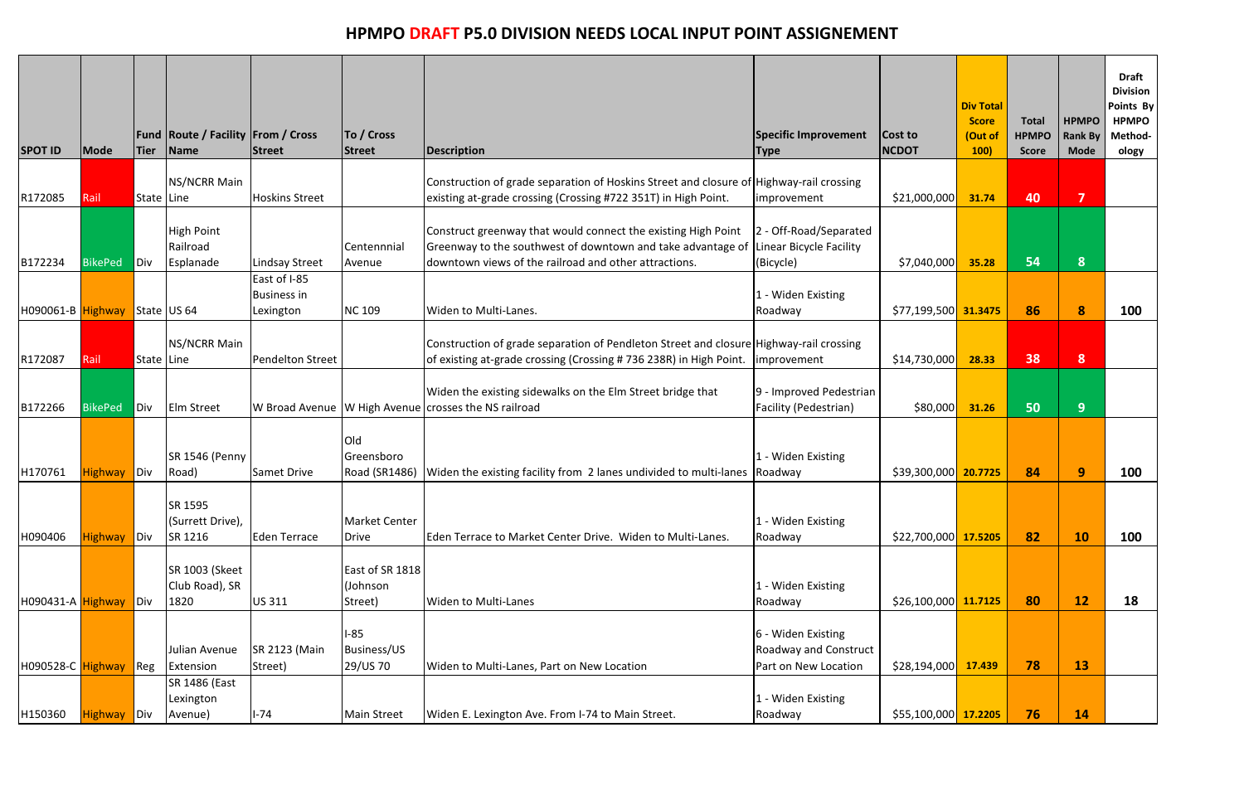| <b>SPOT ID</b>    | Mode           | <b>Tier</b> | <b>Fund Route / Facility From / Cross</b><br><b>Name</b> | Street                                          | To / Cross<br><b>Street</b>            | Description                                                                                                                                                                           | <b>Specific Improvement</b><br><b>Type</b>                                 | Cost to<br><b>NCDOT</b>     | <b>Div Total</b><br><b>Score</b><br>(Out of<br><b>100)</b> | <b>Total</b><br><b>HPMPO</b><br><b>Score</b> | <b>HPMPO</b><br><b>Rank By</b><br><b>Mode</b> | <b>Draft</b><br><b>Division</b><br>Points By<br><b>HPMPO</b><br>Method-<br>ology |
|-------------------|----------------|-------------|----------------------------------------------------------|-------------------------------------------------|----------------------------------------|---------------------------------------------------------------------------------------------------------------------------------------------------------------------------------------|----------------------------------------------------------------------------|-----------------------------|------------------------------------------------------------|----------------------------------------------|-----------------------------------------------|----------------------------------------------------------------------------------|
| R172085           | Rail           | State Line  | NS/NCRR Main                                             | <b>Hoskins Street</b>                           |                                        | Construction of grade separation of Hoskins Street and closure of Highway-rail crossing<br>existing at-grade crossing (Crossing #722 351T) in High Point.                             | improvement                                                                | \$21,000,000                | 31.74                                                      | 40                                           | $\overline{\mathbf{z}}$                       |                                                                                  |
| B172234           | <b>BikePed</b> | Div         | <b>High Point</b><br>Railroad<br>Esplanade               | <b>Lindsay Street</b>                           | Centennnial<br>Avenue                  | Construct greenway that would connect the existing High Point<br>Greenway to the southwest of downtown and take advantage of<br>downtown views of the railroad and other attractions. | 2 - Off-Road/Separated<br>Linear Bicycle Facility<br>(Bicycle)             | \$7,040,000                 | 35.28                                                      | 54                                           | 8                                             |                                                                                  |
| H090061-B Highway |                |             | State US 64                                              | East of I-85<br><b>Business in</b><br>Lexington | <b>NC 109</b>                          | Widen to Multi-Lanes.                                                                                                                                                                 | 1 - Widen Existing<br>Roadway                                              | $$77,199,500$ 31.3475       |                                                            | 86                                           | 8                                             | 100                                                                              |
| R172087           | Rail           | State Line  | NS/NCRR Main                                             | Pendelton Street                                |                                        | Construction of grade separation of Pendleton Street and closure Highway-rail crossing<br>of existing at-grade crossing (Crossing #736 238R) in High Point.                           | improvement                                                                | \$14,730,000                | 28.33                                                      | 38                                           | 8                                             |                                                                                  |
| B172266           | <b>BikePed</b> | Div         | <b>Elm Street</b>                                        |                                                 |                                        | Widen the existing sidewalks on the Elm Street bridge that<br>W Broad Avenue   W High Avenue crosses the NS railroad                                                                  | 9 - Improved Pedestrian<br>Facility (Pedestrian)                           | \$80,000                    | 31.26                                                      | 50                                           | 9 <sup>°</sup>                                |                                                                                  |
| H170761           | Highway Div    |             | SR 1546 (Penny<br>Road)                                  | <b>Samet Drive</b>                              | Old<br>Greensboro<br>Road (SR1486)     | Widen the existing facility from 2 lanes undivided to multi-lanes Roadway                                                                                                             | 1 - Widen Existing                                                         | \$39,300,000 <b>20.7725</b> |                                                            | 84                                           | 9                                             | <b>100</b>                                                                       |
| H090406           | <b>Highway</b> | Div         | SR 1595<br>(Surrett Drive),<br>SR 1216                   | Eden Terrace                                    | <b>Market Center</b><br>Drive          | Eden Terrace to Market Center Drive. Widen to Multi-Lanes.                                                                                                                            | 1 - Widen Existing<br>Roadway                                              | $$22,700,000$ 17.5205       |                                                            | 82                                           | <b>10</b>                                     | <b>100</b>                                                                       |
| H090431-A Highway |                | Div         | <b>SR 1003 (Skeet</b><br>Club Road), SR<br>1820          | <b>US311</b>                                    | East of SR 1818<br>(Johnson<br>Street) | <b>Widen to Multi-Lanes</b>                                                                                                                                                           | 1 - Widen Existing<br>Roadway                                              | $$26,100,000$ 11.7125       |                                                            | 80                                           | 12                                            | 18                                                                               |
| H090528-C Highway |                | Reg         | Julian Avenue<br>Extension                               | <b>SR 2123 (Main</b><br>Street)                 | I-85<br>Business/US<br>29/US 70        | Widen to Multi-Lanes, Part on New Location                                                                                                                                            | 6 - Widen Existing<br><b>Roadway and Construct</b><br>Part on New Location | \$28,194,000                | 17.439                                                     | 78                                           | <b>13</b>                                     |                                                                                  |
| H150360           | <b>Highway</b> | Div         | SR 1486 (East<br>Lexington<br>Avenue)                    | $I-74$                                          | <b>Main Street</b>                     | Widen E. Lexington Ave. From I-74 to Main Street.                                                                                                                                     | 1 - Widen Existing<br>Roadway                                              | \$55,100,000 17.2205        |                                                            | 76                                           | <b>14</b>                                     |                                                                                  |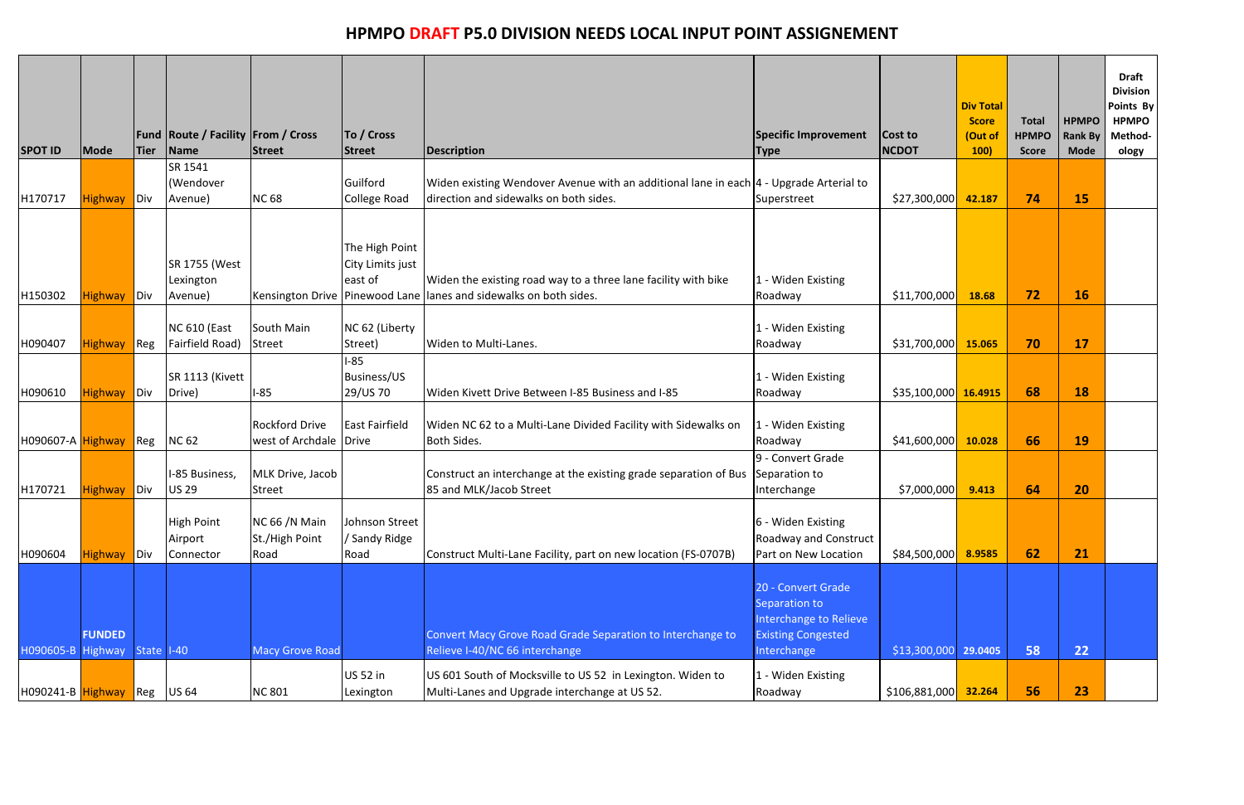| <b>SPOT ID</b>    | Mode                     | <b>Tier</b>        | <b>Fund Route / Facility From / Cross</b><br>Name | <b>Street</b>                                   | To / Cross<br><b>Street</b>                   | Description                                                                                                                          | <b>Specific Improvement</b><br><b>Type</b>                                                                | Cost to<br><b>NCDOT</b>      | <b>Div Total</b><br><b>Score</b><br>(Out of<br>100) | <b>Total</b><br><b>HPMPO</b><br><b>Score</b> | <b>HPMPO</b><br><b>Rank By</b><br><b>Mode</b> | <b>Draft</b><br><b>Division</b><br>Points By<br><b>HPMPO</b><br>Method-<br>ology |
|-------------------|--------------------------|--------------------|---------------------------------------------------|-------------------------------------------------|-----------------------------------------------|--------------------------------------------------------------------------------------------------------------------------------------|-----------------------------------------------------------------------------------------------------------|------------------------------|-----------------------------------------------------|----------------------------------------------|-----------------------------------------------|----------------------------------------------------------------------------------|
|                   |                          |                    | SR 1541                                           |                                                 |                                               |                                                                                                                                      |                                                                                                           |                              |                                                     |                                              |                                               |                                                                                  |
| H170717           |                          |                    | (Wendover                                         | <b>NC 68</b>                                    | Guilford                                      | Widen existing Wendover Avenue with an additional lane in each  4 - Upgrade Arterial to<br>direction and sidewalks on both sides.    |                                                                                                           |                              |                                                     | 74                                           |                                               |                                                                                  |
|                   | <b>Highway</b>           | Div                | Avenue)                                           |                                                 | College Road                                  |                                                                                                                                      | Superstreet                                                                                               | \$27,300,000                 | 42.187                                              |                                              | <b>15</b>                                     |                                                                                  |
| H150302           | <b>Highway</b>           | Div                | SR 1755 (West<br>Lexington<br>Avenue)             |                                                 | The High Point<br>City Limits just<br>east of | Widen the existing road way to a three lane facility with bike<br>Kensington Drive Pinewood Lane Ilanes and sidewalks on both sides. | 1 - Widen Existing<br>Roadway                                                                             | \$11,700,000                 | 18.68                                               | 72                                           | <b>16</b>                                     |                                                                                  |
|                   |                          |                    |                                                   |                                                 |                                               |                                                                                                                                      |                                                                                                           |                              |                                                     |                                              |                                               |                                                                                  |
| H090407           | <b>Highway</b>           | Re                 | <b>NC 610 (East</b><br>Fairfield Road)            | South Main<br><b>Street</b>                     | NC 62 (Liberty<br>Street)                     | Widen to Multi-Lanes.                                                                                                                | 1 - Widen Existing<br>Roadway                                                                             | \$31,700,000                 | 15.065                                              | 70                                           | <b>17</b>                                     |                                                                                  |
| H090610           | Highway Div              |                    | SR 1113 (Kivett<br>Drive)                         | $1-85$                                          | $-85$<br><b>Business/US</b><br>29/US 70       | Widen Kivett Drive Between I-85 Business and I-85                                                                                    | 1 - Widen Existing<br>Roadway                                                                             | $$35,100,000$ 16.4915        |                                                     | 68                                           | <b>18</b>                                     |                                                                                  |
| H090607-A Highway |                          | $\blacksquare$ Reg | <b>NC 62</b>                                      | <b>Rockford Drive</b><br>west of Archdale Drive | <b>East Fairfield</b>                         | Widen NC 62 to a Multi-Lane Divided Facility with Sidewalks on<br>Both Sides.                                                        | 1 - Widen Existing<br>Roadway                                                                             | \$41,600,000                 | 10.028                                              | 66                                           | <b>19</b>                                     |                                                                                  |
| H170721           | Highway Div              |                    | I-85 Business,<br><b>US 29</b>                    | MLK Drive, Jacob<br><b>Street</b>               |                                               | Construct an interchange at the existing grade separation of Bus<br>85 and MLK/Jacob Street                                          | 9 - Convert Grade<br>Separation to<br>Interchange                                                         | \$7,000,000                  | 9.413                                               | 64                                           | 20                                            |                                                                                  |
| H090604           | <b>Highway</b>           | Div                | <b>High Point</b><br>Airport<br>Connector         | NC 66 /N Main<br>St./High Point<br>Road         | Johnson Street<br>/ Sandy Ridge<br>Road       | Construct Multi-Lane Facility, part on new location (FS-0707B)                                                                       | 6 - Widen Existing<br>Roadway and Construct<br>Part on New Location                                       | \$84,500,000                 | 8.9585                                              | 62                                           | 21                                            |                                                                                  |
| H090605-B         | <b>FUNDED</b><br>Highway | State I-40         |                                                   | <b>Macy Grove Road</b>                          |                                               | Convert Macy Grove Road Grade Separation to Interchange to<br>Relieve I-40/NC 66 interchange                                         | 20 - Convert Grade<br>Separation to<br>Interchange to Relieve<br><b>Existing Congested</b><br>Interchange | \$13,300,000                 | 29.0405                                             | 58                                           | 22                                            |                                                                                  |
| H090241-B Highway |                          | Reg                | <b>US 64</b>                                      | <b>NC 801</b>                                   | <b>US 52 in</b><br>Lexington                  | US 601 South of Mocksville to US 52 in Lexington. Widen to<br>Multi-Lanes and Upgrade interchange at US 52.                          | 1 - Widen Existing<br>Roadway                                                                             | \$106,881,000 <mark> </mark> | 32.264                                              | 56                                           | 23                                            |                                                                                  |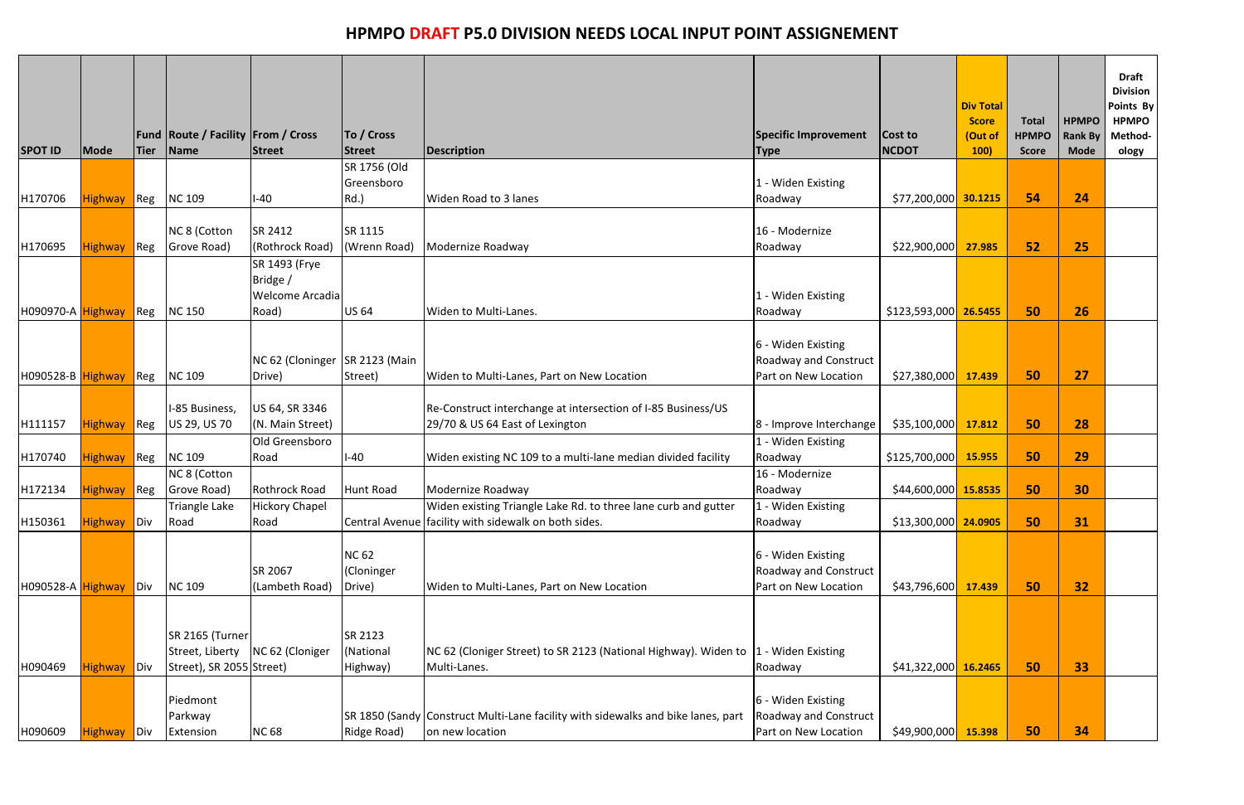| <b>SPOT ID</b>    | Mode               | <b>Tier</b>        | <b>Fund Route / Facility From / Cross</b><br>Name              | <b>Street</b>                                         | To / Cross<br><b>Street</b>          | <b>Description</b>                                                                                  | Specific Improvement<br><b>Type</b>                                        | Cost to<br><b>NCDOT</b> | <b>Div Total</b><br><b>Score</b><br>(Out of<br><b>100)</b> | <b>Total</b><br><b>HPMPO</b><br><b>Score</b> | <b>HPMPO</b><br><b>Rank By</b><br><b>Mode</b> | <b>Draft</b><br><b>Division</b><br>Points By<br><b>HPMPO</b><br>Method-<br>ology |
|-------------------|--------------------|--------------------|----------------------------------------------------------------|-------------------------------------------------------|--------------------------------------|-----------------------------------------------------------------------------------------------------|----------------------------------------------------------------------------|-------------------------|------------------------------------------------------------|----------------------------------------------|-----------------------------------------------|----------------------------------------------------------------------------------|
|                   |                    |                    |                                                                |                                                       | SR 1756 (Old                         |                                                                                                     |                                                                            |                         |                                                            |                                              |                                               |                                                                                  |
| H170706           | <b>Highway</b>     | Reg                | <b>NC 109</b>                                                  | l-40                                                  | Greensboro<br>$Rd.$ )                | Widen Road to 3 lanes                                                                               | 1 - Widen Existing<br>Roadway                                              | $$77,200,000$ 30.1215   |                                                            | 54                                           | 24                                            |                                                                                  |
|                   |                    |                    |                                                                |                                                       |                                      |                                                                                                     |                                                                            |                         |                                                            |                                              |                                               |                                                                                  |
|                   |                    |                    | NC 8 (Cotton                                                   | SR 2412                                               | SR 1115                              |                                                                                                     | 16 - Modernize                                                             |                         |                                                            |                                              |                                               |                                                                                  |
| H170695           | Highway Reg        |                    | Grove Road)                                                    | (Rothrock Road)                                       | (Wrenn Road)                         | Modernize Roadway                                                                                   | Roadway                                                                    | \$22,900,000            | 27.985                                                     | 52                                           | 25                                            |                                                                                  |
| H090970-A Highway |                    | Reg                | <b>NC 150</b>                                                  | SR 1493 (Frye<br>Bridge /<br>Welcome Arcadia<br>Road) | <b>US 64</b>                         | Widen to Multi-Lanes.                                                                               | 1 - Widen Existing<br>Roadway                                              | \$123,593,000 26.5455   |                                                            | 50                                           | 26                                            |                                                                                  |
| H090528-B Highway |                    | $Re$ g             | <b>NC 109</b>                                                  | NC 62 (Cloninger SR 2123 (Main<br>Drive)              | Street)                              | Widen to Multi-Lanes, Part on New Location                                                          | 6 - Widen Existing<br><b>Roadway and Construct</b><br>Part on New Location | \$27,380,000            | 17.439                                                     | 50                                           | 27                                            |                                                                                  |
| H111157           | <b>Highway</b>     | $Re$ g             | I-85 Business,<br>US 29, US 70                                 | US 64, SR 3346<br>(N. Main Street)                    |                                      | Re-Construct interchange at intersection of I-85 Business/US<br>29/70 & US 64 East of Lexington     | 8 - Improve Interchange                                                    | \$35,100,000            | 17.812                                                     | 50                                           | 28                                            |                                                                                  |
| H170740           | <b>Highway</b>     | $\blacksquare$ Reg | <b>NC 109</b>                                                  | Old Greensboro<br>Road                                | l-40                                 | Widen existing NC 109 to a multi-lane median divided facility                                       | 1 - Widen Existing<br>Roadway                                              | \$125,700,000           | 15.955                                                     | 50                                           | 29                                            |                                                                                  |
|                   |                    |                    | NC 8 (Cotton                                                   |                                                       |                                      |                                                                                                     | 16 - Modernize                                                             |                         |                                                            |                                              |                                               |                                                                                  |
| H172134           | <b>Highway</b>     | $Re$ g             | Grove Road)                                                    | <b>Rothrock Road</b>                                  | Hunt Road                            | Modernize Roadway                                                                                   | Roadway                                                                    | $$44,600,000$ 15.8535   |                                                            | 50                                           | 30                                            |                                                                                  |
|                   |                    |                    | Triangle Lake                                                  | <b>Hickory Chapel</b>                                 |                                      | Widen existing Triangle Lake Rd. to three lane curb and gutter                                      | $\sqrt{1}$ - Widen Existing                                                |                         |                                                            |                                              |                                               |                                                                                  |
| H150361           | <b>Highway</b> Div |                    | Road                                                           | Road                                                  |                                      | Central Avenue facility with sidewalk on both sides.                                                | Roadway                                                                    | $$13,300,000$ 24.0905   |                                                            | 50                                           | 31                                            |                                                                                  |
| H090528-A Highway |                    | Div                | <b>NC 109</b>                                                  | SR 2067<br>(Lambeth Road)                             | <b>NC 62</b><br>(Cloninger<br>Drive) | Widen to Multi-Lanes, Part on New Location                                                          | 6 - Widen Existing<br><b>Roadway and Construct</b><br>Part on New Location | \$43,796,600            | 17.439                                                     | 50                                           | 32                                            |                                                                                  |
| H090469           | Highway Div        |                    | SR 2165 (Turner<br>Street, Liberty<br>Street), SR 2055 Street) | NC 62 (Cloniger                                       | SR 2123<br>(National<br>Highway)     | NC 62 (Cloniger Street) to SR 2123 (National Highway). Widen to  1 - Widen Existing<br>Multi-Lanes. | Roadway                                                                    | $$41,322,000$ 16.2465   |                                                            | 50                                           | 33                                            |                                                                                  |
| H090609           | Highway Div        |                    | Piedmont<br>Parkway<br>Extension                               | <b>NC 68</b>                                          | Ridge Road)                          | SR 1850 (Sandy Construct Multi-Lane facility with sidewalks and bike lanes, part<br>on new location | 6 - Widen Existing<br><b>Roadway and Construct</b><br>Part on New Location | \$49,900,000            | 15.398                                                     | 50                                           | 34                                            |                                                                                  |